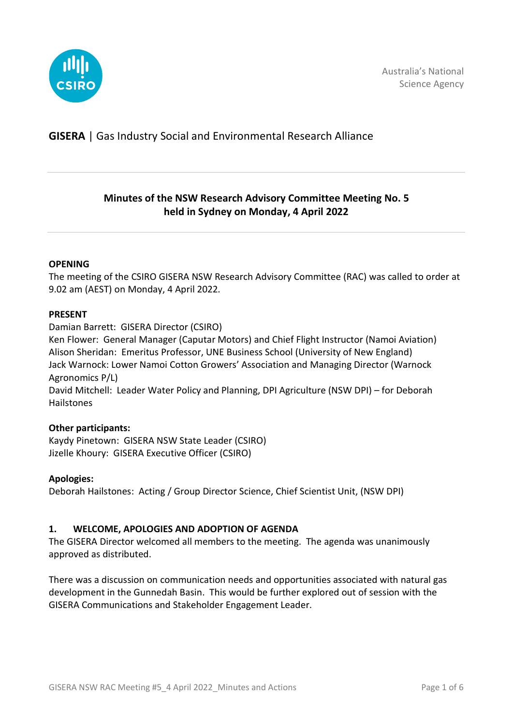

# **GISERA** | Gas Industry Social and Environmental Research Alliance

# **Minutes of the NSW Research Advisory Committee Meeting No. 5 held in Sydney on Monday, 4 April 2022**

### **OPENING**

The meeting of the CSIRO GISERA NSW Research Advisory Committee (RAC) was called to order at 9.02 am (AEST) on Monday, 4 April 2022.

#### **PRESENT**

Damian Barrett: GISERA Director (CSIRO)

Ken Flower: General Manager (Caputar Motors) and Chief Flight Instructor (Namoi Aviation) Alison Sheridan: Emeritus Professor, UNE Business School (University of New England) Jack Warnock: Lower Namoi Cotton Growers' Association and Managing Director (Warnock Agronomics P/L)

David Mitchell: Leader Water Policy and Planning, DPI Agriculture (NSW DPI) – for Deborah Hailstones

### **Other participants:**

Kaydy Pinetown: GISERA NSW State Leader (CSIRO) Jizelle Khoury: GISERA Executive Officer (CSIRO)

### **Apologies:**

Deborah Hailstones: Acting / Group Director Science, Chief Scientist Unit, (NSW DPI)

### **1. WELCOME, APOLOGIES AND ADOPTION OF AGENDA**

The GISERA Director welcomed all members to the meeting. The agenda was unanimously approved as distributed.

There was a discussion on communication needs and opportunities associated with natural gas development in the Gunnedah Basin. This would be further explored out of session with the GISERA Communications and Stakeholder Engagement Leader.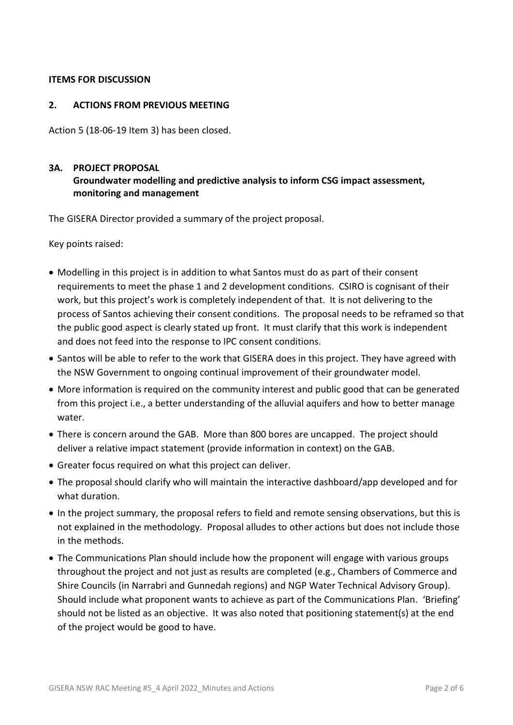### **ITEMS FOR DISCUSSION**

### **2. ACTIONS FROM PREVIOUS MEETING**

Action 5 (18-06-19 Item 3) has been closed.

### **3A. PROJECT PROPOSAL**

## **Groundwater modelling and predictive analysis to inform CSG impact assessment, monitoring and management**

The GISERA Director provided a summary of the project proposal.

Key points raised:

- Modelling in this project is in addition to what Santos must do as part of their consent requirements to meet the phase 1 and 2 development conditions. CSIRO is cognisant of their work, but this project's work is completely independent of that. It is not delivering to the process of Santos achieving their consent conditions. The proposal needs to be reframed so that the public good aspect is clearly stated up front. It must clarify that this work is independent and does not feed into the response to IPC consent conditions.
- Santos will be able to refer to the work that GISERA does in this project. They have agreed with the NSW Government to ongoing continual improvement of their groundwater model.
- More information is required on the community interest and public good that can be generated from this project i.e., a better understanding of the alluvial aquifers and how to better manage water.
- There is concern around the GAB. More than 800 bores are uncapped. The project should deliver a relative impact statement (provide information in context) on the GAB.
- Greater focus required on what this project can deliver.
- The proposal should clarify who will maintain the interactive dashboard/app developed and for what duration.
- In the project summary, the proposal refers to field and remote sensing observations, but this is not explained in the methodology. Proposal alludes to other actions but does not include those in the methods.
- The Communications Plan should include how the proponent will engage with various groups throughout the project and not just as results are completed (e.g., Chambers of Commerce and Shire Councils (in Narrabri and Gunnedah regions) and NGP Water Technical Advisory Group). Should include what proponent wants to achieve as part of the Communications Plan. 'Briefing' should not be listed as an objective. It was also noted that positioning statement(s) at the end of the project would be good to have.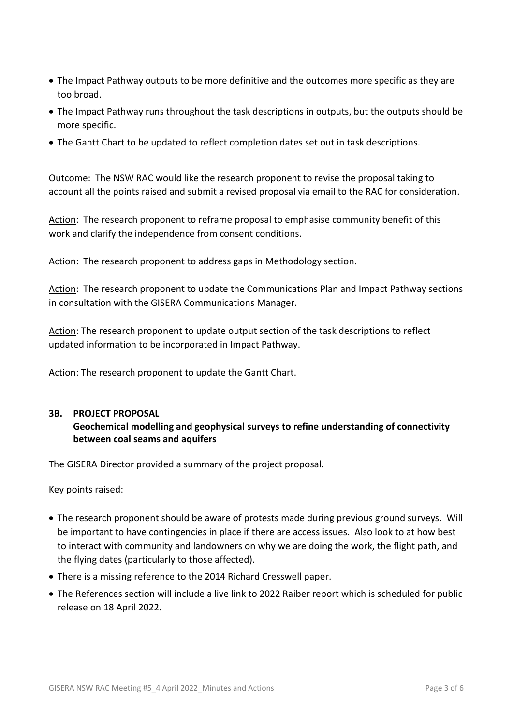- The Impact Pathway outputs to be more definitive and the outcomes more specific as they are too broad.
- The Impact Pathway runs throughout the task descriptions in outputs, but the outputs should be more specific.
- The Gantt Chart to be updated to reflect completion dates set out in task descriptions.

Outcome: The NSW RAC would like the research proponent to revise the proposal taking to account all the points raised and submit a revised proposal via email to the RAC for consideration.

Action: The research proponent to reframe proposal to emphasise community benefit of this work and clarify the independence from consent conditions.

Action: The research proponent to address gaps in Methodology section.

Action: The research proponent to update the Communications Plan and Impact Pathway sections in consultation with the GISERA Communications Manager.

Action: The research proponent to update output section of the task descriptions to reflect updated information to be incorporated in Impact Pathway.

Action: The research proponent to update the Gantt Chart.

### **3B. PROJECT PROPOSAL**

## **Geochemical modelling and geophysical surveys to refine understanding of connectivity between coal seams and aquifers**

The GISERA Director provided a summary of the project proposal.

Key points raised:

- The research proponent should be aware of protests made during previous ground surveys. Will be important to have contingencies in place if there are access issues. Also look to at how best to interact with community and landowners on why we are doing the work, the flight path, and the flying dates (particularly to those affected).
- There is a missing reference to the 2014 Richard Cresswell paper.
- The References section will include a live link to 2022 Raiber report which is scheduled for public release on 18 April 2022.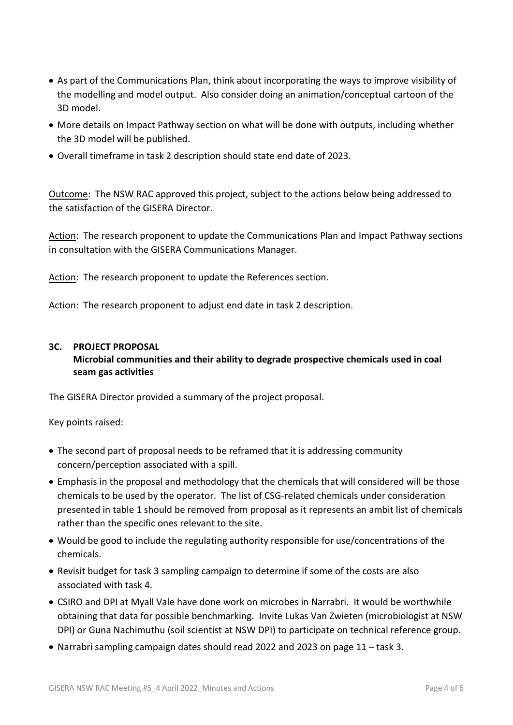- As part of the Communications Plan, think about incorporating the ways to improve visibility of the modelling and model output. Also consider doing an animation/conceptual cartoon of the 3D model.
- More details on Impact Pathway section on what will be done with outputs, including whether the 3D model will be published.
- Overall timeframe in task 2 description should state end date of 2023.

Outcome: The NSW RAC approved this project, subject to the actions below being addressed to the satisfaction of the GISERA Director.

Action: The research proponent to update the Communications Plan and Impact Pathway sections in consultation with the GISERA Communications Manager.

Action: The research proponent to update the References section.

Action: The research proponent to adjust end date in task 2 description.

### **3C. PROJECT PROPOSAL**

### **Microbial communities and their ability to degrade prospective chemicals used in coal seam gas activities**

The GISERA Director provided a summary of the project proposal.

Key points raised:

- The second part of proposal needs to be reframed that it is addressing community concern/perception associated with a spill.
- Emphasis in the proposal and methodology that the chemicals that will considered will be those chemicals to be used by the operator. The list of CSG-related chemicals under consideration presented in table 1 should be removed from proposal as it represents an ambit list of chemicals rather than the specific ones relevant to the site.
- Would be good to include the regulating authority responsible for use/concentrations of the chemicals.
- Revisit budget for task 3 sampling campaign to determine if some of the costs are also associated with task 4.
- CSIRO and DPI at Myall Vale have done work on microbes in Narrabri. It would be worthwhile obtaining that data for possible benchmarking. Invite Lukas Van Zwieten (microbiologist at NSW DPI) or Guna Nachimuthu (soil scientist at NSW DPI) to participate on technical reference group.
- Narrabri sampling campaign dates should read 2022 and 2023 on page 11 task 3.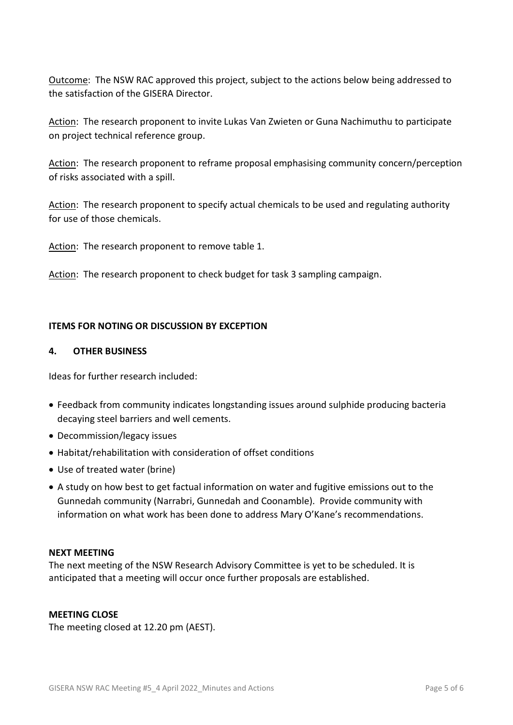Outcome: The NSW RAC approved this project, subject to the actions below being addressed to the satisfaction of the GISERA Director.

Action: The research proponent to invite Lukas Van Zwieten or Guna Nachimuthu to participate on project technical reference group.

Action: The research proponent to reframe proposal emphasising community concern/perception of risks associated with a spill.

Action: The research proponent to specify actual chemicals to be used and regulating authority for use of those chemicals.

Action: The research proponent to remove table 1.

Action: The research proponent to check budget for task 3 sampling campaign.

### **ITEMS FOR NOTING OR DISCUSSION BY EXCEPTION**

#### **4. OTHER BUSINESS**

Ideas for further research included:

- Feedback from community indicates longstanding issues around sulphide producing bacteria decaying steel barriers and well cements.
- Decommission/legacy issues
- Habitat/rehabilitation with consideration of offset conditions
- Use of treated water (brine)
- A study on how best to get factual information on water and fugitive emissions out to the Gunnedah community (Narrabri, Gunnedah and Coonamble). Provide community with information on what work has been done to address Mary O'Kane's recommendations.

### **NEXT MEETING**

The next meeting of the NSW Research Advisory Committee is yet to be scheduled. It is anticipated that a meeting will occur once further proposals are established.

### **MEETING CLOSE**

The meeting closed at 12.20 pm (AEST).